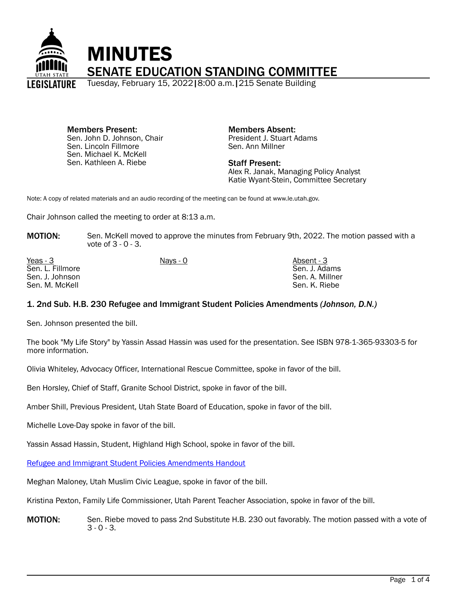

Members Present: Sen. John D. Johnson, Chair Sen. Lincoln Fillmore Sen. Michael K. McKell Sen. Kathleen A. Riebe

Members Absent: President J. Stuart Adams Sen. Ann Millner

Staff Present: Alex R. Janak, Managing Policy Analyst Katie Wyant-Stein, Committee Secretary

Note: A copy of related materials and an audio recording of the meeting can be found at www.le.utah.gov.

Chair Johnson called the meeting to order at 8:13 a.m.

**MOTION:** Sen. McKell moved to approve the minutes from February 9th, 2022. The motion passed with a vote of 3 - 0 - 3.

| Yeas - 3         | Nays - 0 | Absent - 3      |
|------------------|----------|-----------------|
| Sen. L. Fillmore |          | Sen. J. Adams   |
| Sen. J. Johnson  |          | Sen. A. Millner |
| Sen. M. McKell   |          | Sen. K. Riebe   |

## 1. 2nd Sub. H.B. 230 Refugee and Immigrant Student Policies Amendments *(Johnson, D.N.)*

Sen. Johnson presented the bill.

The book "My Life Story" by Yassin Assad Hassin was used for the presentation. See ISBN 978-1-365-93303-5 for more information.

Olivia Whiteley, Advocacy Officer, International Rescue Committee, spoke in favor of the bill.

Ben Horsley, Chief of Staff, Granite School District, spoke in favor of the bill.

Amber Shill, Previous President, Utah State Board of Education, spoke in favor of the bill.

Michelle Love-Day spoke in favor of the bill.

Yassin Assad Hassin, Student, Highland High School, spoke in favor of the bill.

[Refugee and Immigrant Student Policies Amendments Handout](https://le.utah.gov/interim/2022/pdf/00001779.pdf)

Meghan Maloney, Utah Muslim Civic League, spoke in favor of the bill.

Kristina Pexton, Family Life Commissioner, Utah Parent Teacher Association, spoke in favor of the bill.

**MOTION:** Sen. Riebe moved to pass 2nd Substitute H.B. 230 out favorably. The motion passed with a vote of 3 - 0 - 3.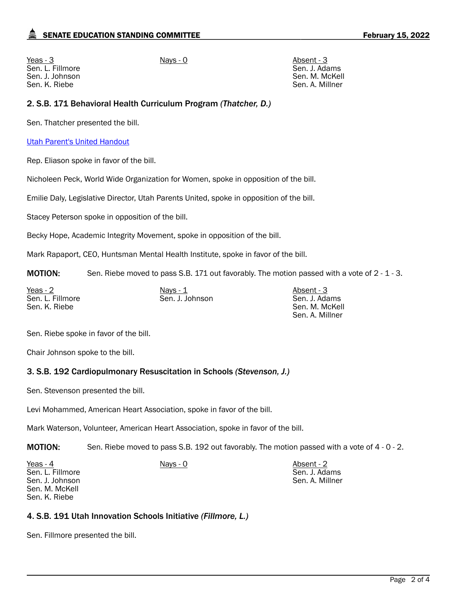Yeas - 3 Nays - 0 Absent - 3 Sen. L. Fillmore Sen. J. Johnson Sen. K. Riebe

Sen. J. Adams Sen. M. McKell Sen. A. Millner

## 2. S.B. 171 Behavioral Health Curriculum Program *(Thatcher, D.)*

Sen. Thatcher presented the bill.

### [Utah Parent's United Handout](https://le.utah.gov/interim/2022/pdf/00001780.pdf)

Rep. Eliason spoke in favor of the bill.

Nicholeen Peck, World Wide Organization for Women, spoke in opposition of the bill.

Emilie Daly, Legislative Director, Utah Parents United, spoke in opposition of the bill.

Stacey Peterson spoke in opposition of the bill.

Becky Hope, Academic Integrity Movement, spoke in opposition of the bill.

Mark Rapaport, CEO, Huntsman Mental Health Institute, spoke in favor of the bill.

**MOTION:** Sen. Riebe moved to pass S.B. 171 out favorably. The motion passed with a vote of 2 - 1 - 3.

| Yeas - 2         | Nays $-1$       | Absent - 3      |
|------------------|-----------------|-----------------|
| Sen. L. Fillmore | Sen. J. Johnson | Sen. J. Adams   |
| Sen. K. Riebe    |                 | Sen. M. McKell  |
|                  |                 | Sen. A. Millner |

Sen. Riebe spoke in favor of the bill.

Chair Johnson spoke to the bill.

# 3. S.B. 192 Cardiopulmonary Resuscitation in Schools *(Stevenson, J.)*

Sen. Stevenson presented the bill.

Levi Mohammed, American Heart Association, spoke in favor of the bill.

Mark Waterson, Volunteer, American Heart Association, spoke in favor of the bill.

MOTION: Sen. Riebe moved to pass S.B. 192 out favorably. The motion passed with a vote of 4 - 0 - 2.

| Yeas - 4         | Nays - 0 | Absent - 2      |
|------------------|----------|-----------------|
| Sen. L. Fillmore |          | Sen. J. Adams   |
| Sen. J. Johnson  |          | Sen. A. Millner |
| Sen. M. McKell   |          |                 |
| Sen. K. Riebe    |          |                 |

# 4. S.B. 191 Utah Innovation Schools Initiative *(Fillmore, L.)*

Sen. Fillmore presented the bill.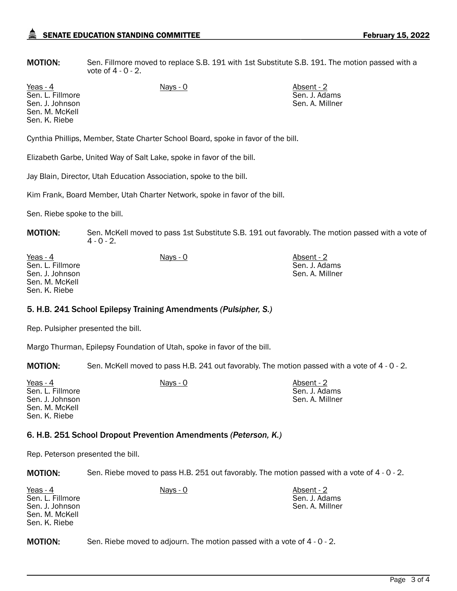**MOTION:** Sen. Fillmore moved to replace S.B. 191 with 1st Substitute S.B. 191. The motion passed with a vote of 4 - 0 - 2.

Sen. L. Fillmore Sen. J. Johnson Sen. M. McKell Sen. K. Riebe

Yeas - 4 Nays - 0 Nays - 0 Absent - 2 Sen. J. Adams Sen. A. Millner

Cynthia Phillips, Member, State Charter School Board, spoke in favor of the bill.

Elizabeth Garbe, United Way of Salt Lake, spoke in favor of the bill.

Jay Blain, Director, Utah Education Association, spoke to the bill.

Kim Frank, Board Member, Utah Charter Network, spoke in favor of the bill.

Sen. Riebe spoke to the bill.

**MOTION:** Sen. McKell moved to pass 1st Substitute S.B. 191 out favorably. The motion passed with a vote of  $4 - 0 - 2$ .

| Yeas - 4         | Nays - 0 | Absent - 2      |
|------------------|----------|-----------------|
| Sen. L. Fillmore |          | Sen. J. Adams   |
| Sen. J. Johnson  |          | Sen. A. Millner |
| Sen. M. McKell   |          |                 |
| Sen. K. Riebe    |          |                 |

#### 5. H.B. 241 School Epilepsy Training Amendments *(Pulsipher, S.)*

Rep. Pulsipher presented the bill.

Margo Thurman, Epilepsy Foundation of Utah, spoke in favor of the bill.

MOTION: Sen. McKell moved to pass H.B. 241 out favorably. The motion passed with a vote of 4 - 0 - 2.

| Yeas - 4<br>Sen. L. Fillmore      | Nays - 0 | Absent - 2<br>Sen. J. Adams |
|-----------------------------------|----------|-----------------------------|
| Sen. J. Johnson<br>Sen. M. McKell |          | Sen. A. Millner             |
| Sen. K. Riebe                     |          |                             |

#### 6. H.B. 251 School Dropout Prevention Amendments *(Peterson, K.)*

Rep. Peterson presented the bill.

MOTION: Sen. Riebe moved to pass H.B. 251 out favorably. The motion passed with a vote of 4 - 0 - 2.

| Yeas - 4<br>Sen. L. Fillmore<br>Sen. J. Johnson<br>Sen. M. McKell<br>Sen. K. Riebe | Nays - 0 | Absent - 2<br>Sen. J. Adams<br>Sen. A. Millner |
|------------------------------------------------------------------------------------|----------|------------------------------------------------|
|                                                                                    |          |                                                |

MOTION: Sen. Riebe moved to adjourn. The motion passed with a vote of 4 - 0 - 2.